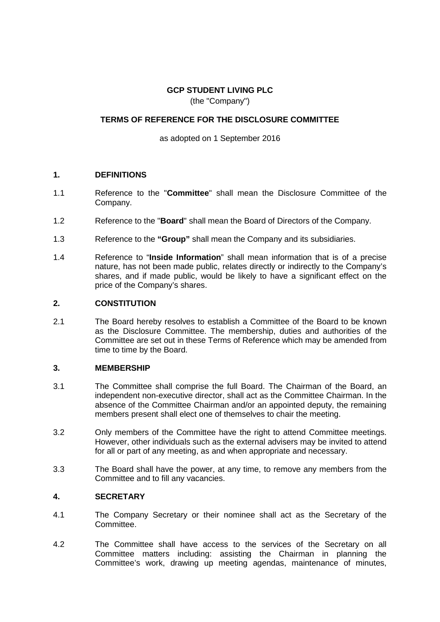# **GCP STUDENT LIVING PLC** (the "Company")

# **TERMS OF REFERENCE FOR THE DISCLOSURE COMMITTEE**

as adopted on 1 September 2016

## **1. DEFINITIONS**

- 1.1 Reference to the "**Committee**" shall mean the Disclosure Committee of the Company.
- 1.2 Reference to the "**Board**" shall mean the Board of Directors of the Company.
- 1.3 Reference to the **"Group"** shall mean the Company and its subsidiaries.
- 1.4 Reference to "**Inside Information**" shall mean information that is of a precise nature, has not been made public, relates directly or indirectly to the Company's shares, and if made public, would be likely to have a significant effect on the price of the Company's shares.

# **2. CONSTITUTION**

2.1 The Board hereby resolves to establish a Committee of the Board to be known as the Disclosure Committee. The membership, duties and authorities of the Committee are set out in these Terms of Reference which may be amended from time to time by the Board.

#### **3. MEMBERSHIP**

- 3.1 The Committee shall comprise the full Board. The Chairman of the Board, an independent non-executive director, shall act as the Committee Chairman. In the absence of the Committee Chairman and/or an appointed deputy, the remaining members present shall elect one of themselves to chair the meeting.
- 3.2 Only members of the Committee have the right to attend Committee meetings. However, other individuals such as the external advisers may be invited to attend for all or part of any meeting, as and when appropriate and necessary.
- 3.3 The Board shall have the power, at any time, to remove any members from the Committee and to fill any vacancies.

# **4. SECRETARY**

- 4.1 The Company Secretary or their nominee shall act as the Secretary of the Committee.
- 4.2 The Committee shall have access to the services of the Secretary on all Committee matters including: assisting the Chairman in planning the Committee's work, drawing up meeting agendas, maintenance of minutes,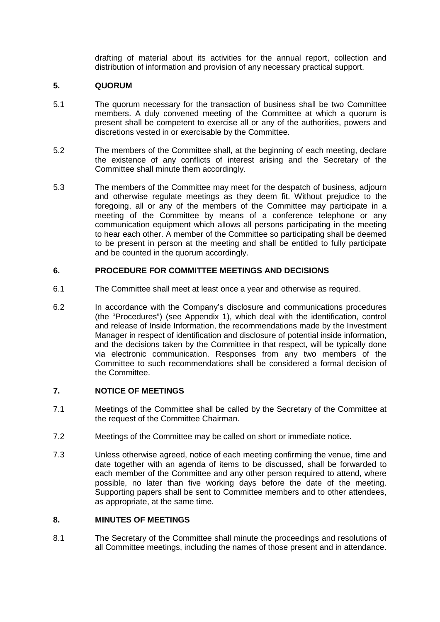drafting of material about its activities for the annual report, collection and distribution of information and provision of any necessary practical support.

# **5. QUORUM**

- 5.1 The quorum necessary for the transaction of business shall be two Committee members. A duly convened meeting of the Committee at which a quorum is present shall be competent to exercise all or any of the authorities, powers and discretions vested in or exercisable by the Committee.
- 5.2 The members of the Committee shall, at the beginning of each meeting, declare the existence of any conflicts of interest arising and the Secretary of the Committee shall minute them accordingly.
- 5.3 The members of the Committee may meet for the despatch of business, adjourn and otherwise regulate meetings as they deem fit. Without prejudice to the foregoing, all or any of the members of the Committee may participate in a meeting of the Committee by means of a conference telephone or any communication equipment which allows all persons participating in the meeting to hear each other. A member of the Committee so participating shall be deemed to be present in person at the meeting and shall be entitled to fully participate and be counted in the quorum accordingly.

# **6. PROCEDURE FOR COMMITTEE MEETINGS AND DECISIONS**

- 6.1 The Committee shall meet at least once a year and otherwise as required.
- 6.2 In accordance with the Company's disclosure and communications procedures (the "Procedures") (see Appendix 1), which deal with the identification, control and release of Inside Information, the recommendations made by the Investment Manager in respect of identification and disclosure of potential inside information, and the decisions taken by the Committee in that respect, will be typically done via electronic communication. Responses from any two members of the Committee to such recommendations shall be considered a formal decision of the Committee.

#### **7. NOTICE OF MEETINGS**

- 7.1 Meetings of the Committee shall be called by the Secretary of the Committee at the request of the Committee Chairman.
- 7.2 Meetings of the Committee may be called on short or immediate notice.
- 7.3 Unless otherwise agreed, notice of each meeting confirming the venue, time and date together with an agenda of items to be discussed, shall be forwarded to each member of the Committee and any other person required to attend, where possible, no later than five working days before the date of the meeting. Supporting papers shall be sent to Committee members and to other attendees, as appropriate, at the same time.

# **8. MINUTES OF MEETINGS**

8.1 The Secretary of the Committee shall minute the proceedings and resolutions of all Committee meetings, including the names of those present and in attendance.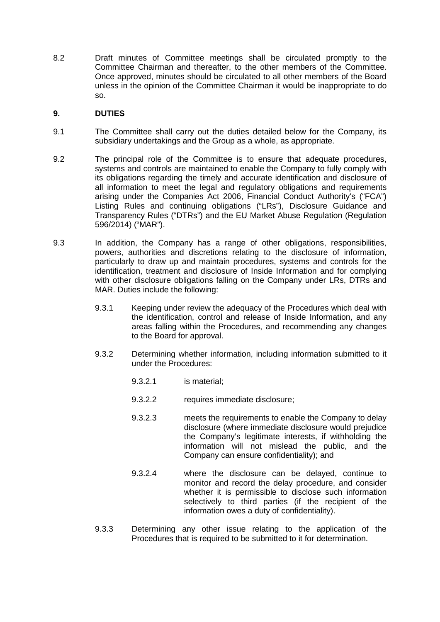8.2 Draft minutes of Committee meetings shall be circulated promptly to the Committee Chairman and thereafter, to the other members of the Committee. Once approved, minutes should be circulated to all other members of the Board unless in the opinion of the Committee Chairman it would be inappropriate to do so.

# **9. DUTIES**

- 9.1 The Committee shall carry out the duties detailed below for the Company, its subsidiary undertakings and the Group as a whole, as appropriate.
- 9.2 The principal role of the Committee is to ensure that adequate procedures, systems and controls are maintained to enable the Company to fully comply with its obligations regarding the timely and accurate identification and disclosure of all information to meet the legal and regulatory obligations and requirements arising under the Companies Act 2006, Financial Conduct Authority's ("FCA") Listing Rules and continuing obligations ("LRs"), Disclosure Guidance and Transparency Rules ("DTRs") and the EU Market Abuse Regulation (Regulation 596/2014) ("MAR").
- 9.3 In addition, the Company has a range of other obligations, responsibilities, powers, authorities and discretions relating to the disclosure of information, particularly to draw up and maintain procedures, systems and controls for the identification, treatment and disclosure of Inside Information and for complying with other disclosure obligations falling on the Company under LRs, DTRs and MAR. Duties include the following:
	- 9.3.1 Keeping under review the adequacy of the Procedures which deal with the identification, control and release of Inside Information, and any areas falling within the Procedures, and recommending any changes to the Board for approval.
	- 9.3.2 Determining whether information, including information submitted to it under the Procedures:
		- 9.3.2.1 is material;
		- 9.3.2.2 requires immediate disclosure;
		- 9.3.2.3 meets the requirements to enable the Company to delay disclosure (where immediate disclosure would prejudice the Company's legitimate interests, if withholding the information will not mislead the public, and the Company can ensure confidentiality); and
		- 9.3.2.4 where the disclosure can be delayed, continue to monitor and record the delay procedure, and consider whether it is permissible to disclose such information selectively to third parties (if the recipient of the information owes a duty of confidentiality).
	- 9.3.3 Determining any other issue relating to the application of the Procedures that is required to be submitted to it for determination.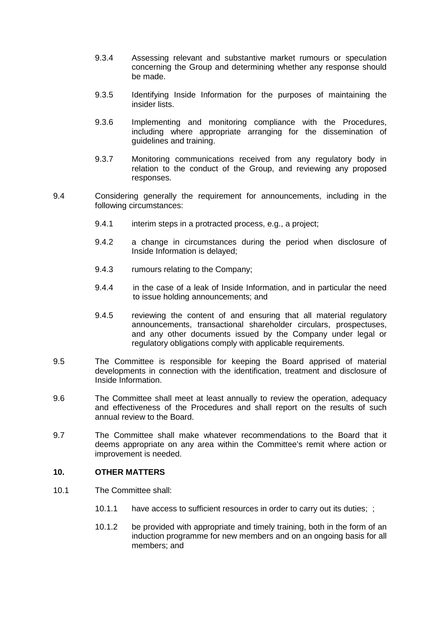- 9.3.4 Assessing relevant and substantive market rumours or speculation concerning the Group and determining whether any response should be made.
- 9.3.5 Identifying Inside Information for the purposes of maintaining the insider lists.
- 9.3.6 Implementing and monitoring compliance with the Procedures, including where appropriate arranging for the dissemination of guidelines and training.
- 9.3.7 Monitoring communications received from any regulatory body in relation to the conduct of the Group, and reviewing any proposed responses.
- 9.4 Considering generally the requirement for announcements, including in the following circumstances:
	- 9.4.1 interim steps in a protracted process, e.g., a project;
	- 9.4.2 a change in circumstances during the period when disclosure of Inside Information is delayed;
	- 9.4.3 rumours relating to the Company;
	- 9.4.4 in the case of a leak of Inside Information, and in particular the need to issue holding announcements; and
	- 9.4.5 reviewing the content of and ensuring that all material regulatory announcements, transactional shareholder circulars, prospectuses, and any other documents issued by the Company under legal or regulatory obligations comply with applicable requirements.
- 9.5 The Committee is responsible for keeping the Board apprised of material developments in connection with the identification, treatment and disclosure of Inside Information.
- 9.6 The Committee shall meet at least annually to review the operation, adequacy and effectiveness of the Procedures and shall report on the results of such annual review to the Board.
- 9.7 The Committee shall make whatever recommendations to the Board that it deems appropriate on any area within the Committee's remit where action or improvement is needed.

#### **10. OTHER MATTERS**

- 10.1 The Committee shall:
	- 10.1.1 have access to sufficient resources in order to carry out its duties; ;
	- 10.1.2 be provided with appropriate and timely training, both in the form of an induction programme for new members and on an ongoing basis for all members; and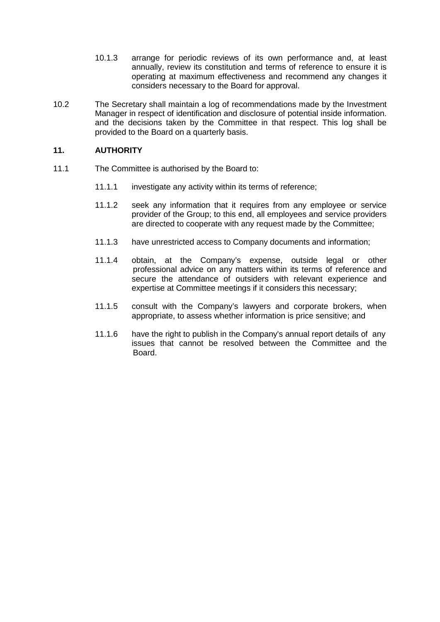- 10.1.3 arrange for periodic reviews of its own performance and, at least annually, review its constitution and terms of reference to ensure it is operating at maximum effectiveness and recommend any changes it considers necessary to the Board for approval.
- 10.2 The Secretary shall maintain a log of recommendations made by the Investment Manager in respect of identification and disclosure of potential inside information. and the decisions taken by the Committee in that respect. This log shall be provided to the Board on a quarterly basis.

# **11. AUTHORITY**

- 11.1 The Committee is authorised by the Board to:
	- 11.1.1 investigate any activity within its terms of reference;
	- 11.1.2 seek any information that it requires from any employee or service provider of the Group; to this end, all employees and service providers are directed to cooperate with any request made by the Committee;
	- 11.1.3 have unrestricted access to Company documents and information;
	- 11.1.4 obtain, at the Company's expense, outside legal or other professional advice on any matters within its terms of reference and secure the attendance of outsiders with relevant experience and expertise at Committee meetings if it considers this necessary;
	- 11.1.5 consult with the Company's lawyers and corporate brokers, when appropriate, to assess whether information is price sensitive; and
	- 11.1.6 have the right to publish in the Company's annual report details of any issues that cannot be resolved between the Committee and the Board.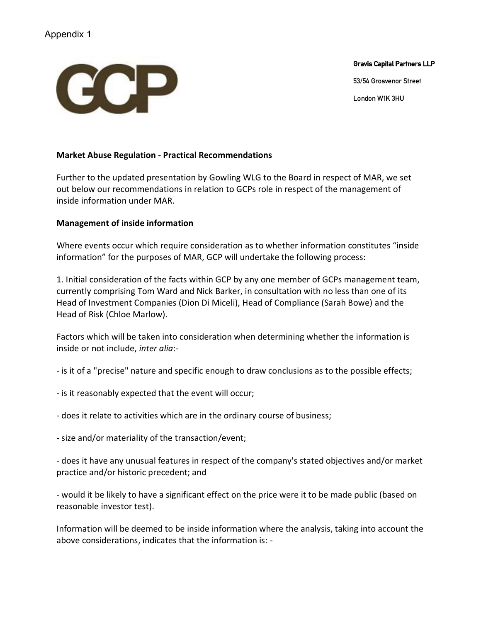# Appendix 1



Gravis Capital Partners LLP

53/54 Grosvenor Street

London W1K 3HU

# **Market Abuse Regulation - Practical Recommendations**

Further to the updated presentation by Gowling WLG to the Board in respect of MAR, we set out below our recommendations in relation to GCPs role in respect of the management of inside information under MAR.

## **Management of inside information**

Where events occur which require consideration as to whether information constitutes "inside information" for the purposes of MAR, GCP will undertake the following process:

1. Initial consideration of the facts within GCP by any one member of GCPs management team, currently comprising Tom Ward and Nick Barker, in consultation with no less than one of its Head of Investment Companies (Dion Di Miceli), Head of Compliance (Sarah Bowe) and the Head of Risk (Chloe Marlow).

Factors which will be taken into consideration when determining whether the information is inside or not include, *inter alia*:-

- is it of a "precise" nature and specific enough to draw conclusions as to the possible effects;

- is it reasonably expected that the event will occur;
- does it relate to activities which are in the ordinary course of business;
- size and/or materiality of the transaction/event;

- does it have any unusual features in respect of the company's stated objectives and/or market practice and/or historic precedent; and

- would it be likely to have a significant effect on the price were it to be made public (based on reasonable investor test).

Information will be deemed to be inside information where the analysis, taking into account the above considerations, indicates that the information is: -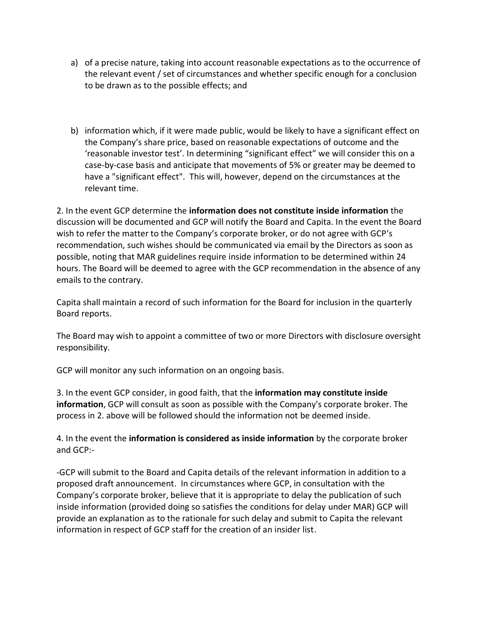- a) of a precise nature, taking into account reasonable expectations as to the occurrence of the relevant event / set of circumstances and whether specific enough for a conclusion to be drawn as to the possible effects; and
- b) information which, if it were made public, would be likely to have a significant effect on the Company's share price, based on reasonable expectations of outcome and the 'reasonable investor test'. In determining "significant effect" we will consider this on a case-by-case basis and anticipate that movements of 5% or greater may be deemed to have a "significant effect". This will, however, depend on the circumstances at the relevant time.

2. In the event GCP determine the **information does not constitute inside information** the discussion will be documented and GCP will notify the Board and Capita. In the event the Board wish to refer the matter to the Company's corporate broker, or do not agree with GCP's recommendation, such wishes should be communicated via email by the Directors as soon as possible, noting that MAR guidelines require inside information to be determined within 24 hours. The Board will be deemed to agree with the GCP recommendation in the absence of any emails to the contrary.

Capita shall maintain a record of such information for the Board for inclusion in the quarterly Board reports.

The Board may wish to appoint a committee of two or more Directors with disclosure oversight responsibility.

GCP will monitor any such information on an ongoing basis.

3. In the event GCP consider, in good faith, that the **information may constitute inside information**, GCP will consult as soon as possible with the Company's corporate broker. The process in 2. above will be followed should the information not be deemed inside.

4. In the event the **information is considered as inside information** by the corporate broker and GCP:-

-GCP will submit to the Board and Capita details of the relevant information in addition to a proposed draft announcement. In circumstances where GCP, in consultation with the Company's corporate broker, believe that it is appropriate to delay the publication of such inside information (provided doing so satisfies the conditions for delay under MAR) GCP will provide an explanation as to the rationale for such delay and submit to Capita the relevant information in respect of GCP staff for the creation of an insider list.